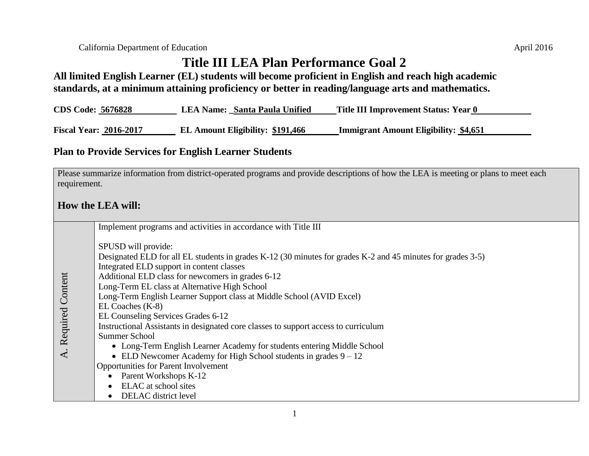**All limited English Learner (EL) students will become proficient in English and reach high academic standards, at a minimum attaining proficiency or better in reading/language arts and mathematics.**

| <b>CDS Code: 5676828</b><br>LEA Name: Santa Paula Unified<br>Title III Improvement Status: Year 0 |  |
|---------------------------------------------------------------------------------------------------|--|
|---------------------------------------------------------------------------------------------------|--|

**Fiscal Year: 2016-2017 EL Amount Eligibility: \$191,466 Immigrant Amount Eligibility: \$4,651**

## **Plan to Provide Services for English Learner Students**

Please summarize information from district-operated programs and provide descriptions of how the LEA is meeting or plans to meet each requirement.

## **How the LEA will:**

|                     | Implement programs and activities in accordance with Title III                                                                                                                                                                                                                                                                                                                                                                                                                                                                                                                                                                                                                                                                                                                                                     |
|---------------------|--------------------------------------------------------------------------------------------------------------------------------------------------------------------------------------------------------------------------------------------------------------------------------------------------------------------------------------------------------------------------------------------------------------------------------------------------------------------------------------------------------------------------------------------------------------------------------------------------------------------------------------------------------------------------------------------------------------------------------------------------------------------------------------------------------------------|
| A. Required Content | SPUSD will provide:<br>Designated ELD for all EL students in grades K-12 (30 minutes for grades K-2 and 45 minutes for grades 3-5)<br>Integrated ELD support in content classes<br>Additional ELD class for newcomers in grades 6-12<br>Long-Term EL class at Alternative High School<br>Long-Term English Learner Support class at Middle School (AVID Excel)<br>EL Coaches $(K-8)$<br>EL Counseling Services Grades 6-12<br>Instructional Assistants in designated core classes to support access to curriculum<br>Summer School<br>• Long-Term English Learner Academy for students entering Middle School<br>• ELD Newcomer Academy for High School students in grades $9 - 12$<br><b>Opportunities for Parent Involvement</b><br>Parent Workshops K-12<br>ELAC at school sites<br><b>DELAC</b> district level |
|                     |                                                                                                                                                                                                                                                                                                                                                                                                                                                                                                                                                                                                                                                                                                                                                                                                                    |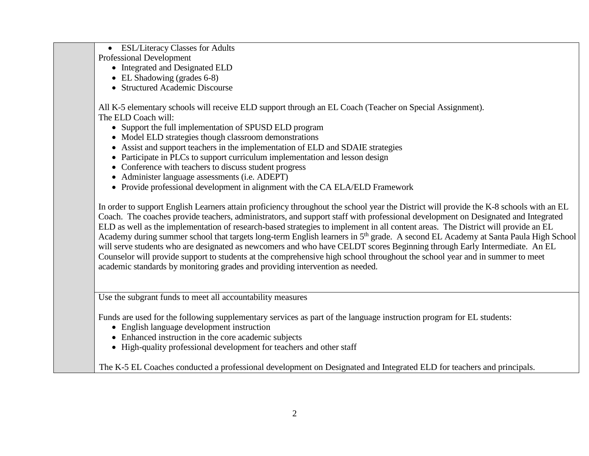Professional Development • Integrated and Designated ELD • EL Shadowing (grades 6-8) • Structured Academic Discourse All K-5 elementary schools will receive ELD support through an EL Coach (Teacher on Special Assignment). The ELD Coach will: • Support the full implementation of SPUSD ELD program • Model ELD strategies though classroom demonstrations Assist and support teachers in the implementation of ELD and SDAIE strategies • Participate in PLCs to support curriculum implementation and lesson design • Conference with teachers to discuss student progress • Administer language assessments (i.e. ADEPT) • Provide professional development in alignment with the CA ELA/ELD Framework In order to support English Learners attain proficiency throughout the school year the District will provide the K-8 schools with an EL Coach. The coaches provide teachers, administrators, and support staff with professional development on Designated and Integrated ELD as well as the implementation of research-based strategies to implement in all content areas. The District will provide an EL Academy during summer school that targets long-term English learners in 5<sup>th</sup> grade. A second EL Academy at Santa Paula High School will serve students who are designated as newcomers and who have CELDT scores Beginning through Early Intermediate. An EL Counselor will provide support to students at the comprehensive high school throughout the school year and in summer to meet academic standards by monitoring grades and providing intervention as needed. Use the subgrant funds to meet all accountability measures Funds are used for the following supplementary services as part of the language instruction program for EL students: English language development instruction Enhanced instruction in the core academic subjects • High-quality professional development for teachers and other staff The K-5 EL Coaches conducted a professional development on Designated and Integrated ELD for teachers and principals.

ESL/Literacy Classes for Adults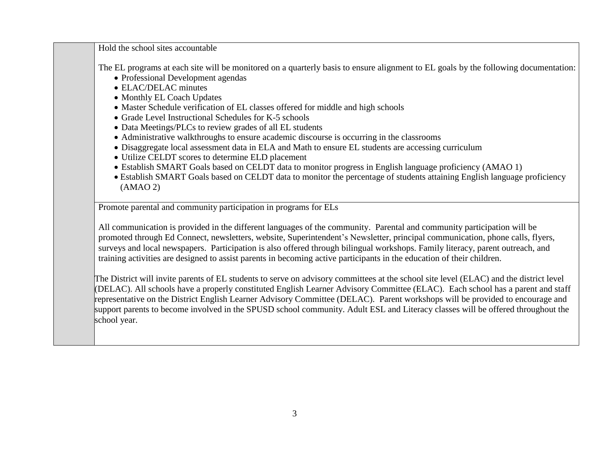Hold the school sites accountable

The EL programs at each site will be monitored on a quarterly basis to ensure alignment to EL goals by the following documentation:

- Professional Development agendas
- ELAC/DELAC minutes
- Monthly EL Coach Updates
- Master Schedule verification of EL classes offered for middle and high schools
- Grade Level Instructional Schedules for K-5 schools
- Data Meetings/PLCs to review grades of all EL students
- Administrative walkthroughs to ensure academic discourse is occurring in the classrooms
- Disaggregate local assessment data in ELA and Math to ensure EL students are accessing curriculum
- Utilize CELDT scores to determine ELD placement
- Establish SMART Goals based on CELDT data to monitor progress in English language proficiency (AMAO 1)
- Establish SMART Goals based on CELDT data to monitor the percentage of students attaining English language proficiency (AMAO 2)

Promote parental and community participation in programs for ELs

All communication is provided in the different languages of the community. Parental and community participation will be promoted through Ed Connect, newsletters, website, Superintendent's Newsletter, principal communication, phone calls, flyers, surveys and local newspapers. Participation is also offered through bilingual workshops. Family literacy, parent outreach, and training activities are designed to assist parents in becoming active participants in the education of their children.

The District will invite parents of EL students to serve on advisory committees at the school site level (ELAC) and the district level (DELAC). All schools have a properly constituted English Learner Advisory Committee (ELAC). Each school has a parent and staff representative on the District English Learner Advisory Committee (DELAC). Parent workshops will be provided to encourage and support parents to become involved in the SPUSD school community. Adult ESL and Literacy classes will be offered throughout the school year.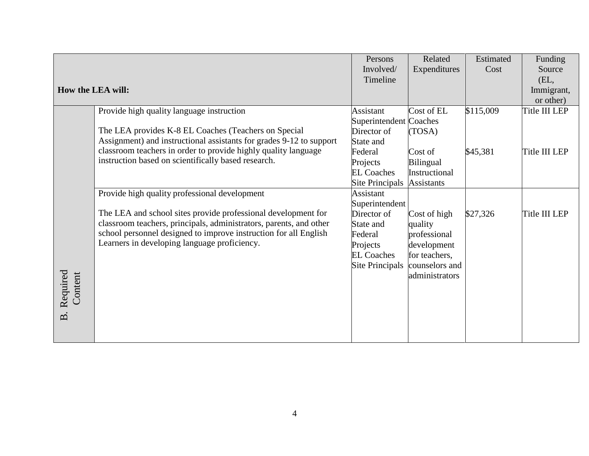|                     |                                                                     | Persons                | Related           | Estimated | Funding              |
|---------------------|---------------------------------------------------------------------|------------------------|-------------------|-----------|----------------------|
|                     |                                                                     | Involved/              | Expenditures      | Cost      | Source               |
|                     |                                                                     | Timeline               |                   |           | (EL,                 |
|                     | How the LEA will:                                                   |                        |                   |           | Immigrant,           |
|                     |                                                                     |                        |                   |           | or other)            |
|                     | Provide high quality language instruction                           | Assistant              | Cost of EL        | \$115,009 | Title III LEP        |
|                     |                                                                     | Superintendent Coaches |                   |           |                      |
|                     | The LEA provides K-8 EL Coaches (Teachers on Special                | Director of            | (TOSA)            |           |                      |
|                     | Assignment) and instructional assistants for grades 9-12 to support | State and              |                   |           |                      |
|                     | classroom teachers in order to provide highly quality language      | Federal                | Cost of           | \$45,381  | Title III LEP        |
|                     | instruction based on scientifically based research.                 | Projects               | <b>Bilingual</b>  |           |                      |
|                     |                                                                     | <b>EL Coaches</b>      | Instructional     |           |                      |
|                     |                                                                     | Site Principals        | <b>Assistants</b> |           |                      |
|                     | Provide high quality professional development                       | Assistant              |                   |           |                      |
|                     |                                                                     | Superintendent         |                   |           |                      |
|                     | The LEA and school sites provide professional development for       | Director of            | Cost of high      | \$27,326  | <b>Title III LEP</b> |
|                     | classroom teachers, principals, administrators, parents, and other  | State and              | quality           |           |                      |
|                     | school personnel designed to improve instruction for all English    | Federal                | professional      |           |                      |
|                     | Learners in developing language proficiency.                        | Projects               | development       |           |                      |
|                     |                                                                     | <b>EL Coaches</b>      | for teachers,     |           |                      |
|                     |                                                                     | Site Principals        | counselors and    |           |                      |
|                     |                                                                     |                        | administrators    |           |                      |
|                     |                                                                     |                        |                   |           |                      |
| Required<br>Content |                                                                     |                        |                   |           |                      |
|                     |                                                                     |                        |                   |           |                      |
| $\dot{B}$           |                                                                     |                        |                   |           |                      |
|                     |                                                                     |                        |                   |           |                      |
|                     |                                                                     |                        |                   |           |                      |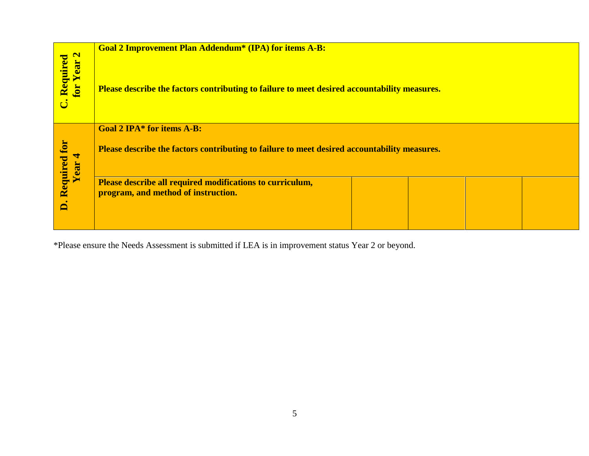| <b>Goal 2 Improvement Plan Addendum<sup>*</sup> (IPA) for items A-B:</b>                     |                                     |  |  |  |
|----------------------------------------------------------------------------------------------|-------------------------------------|--|--|--|
| Please describe the factors contributing to failure to meet desired accountability measures. |                                     |  |  |  |
| <b>Goal 2 IPA* for items A-B:</b>                                                            |                                     |  |  |  |
| Please describe the factors contributing to failure to meet desired accountability measures. |                                     |  |  |  |
| Please describe all required modifications to curriculum,                                    |                                     |  |  |  |
|                                                                                              |                                     |  |  |  |
|                                                                                              |                                     |  |  |  |
|                                                                                              | program, and method of instruction. |  |  |  |

\*Please ensure the Needs Assessment is submitted if LEA is in improvement status Year 2 or beyond.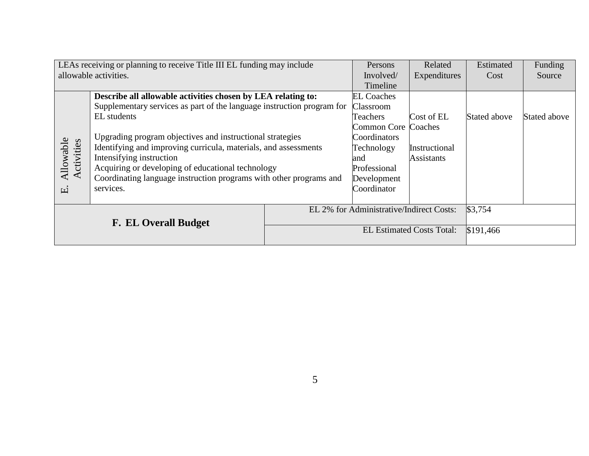| LEAs receiving or planning to receive Title III EL funding may include |                                                                        | Persons                                  | Related                    | Estimated         | Funding      |              |
|------------------------------------------------------------------------|------------------------------------------------------------------------|------------------------------------------|----------------------------|-------------------|--------------|--------------|
| allowable activities.                                                  |                                                                        | Involved/                                | Expenditures               | Cost              | Source       |              |
|                                                                        |                                                                        |                                          | Timeline                   |                   |              |              |
|                                                                        | Describe all allowable activities chosen by LEA relating to:           |                                          | <b>EL Coaches</b>          |                   |              |              |
|                                                                        | Supplementary services as part of the language instruction program for |                                          | Classroom                  |                   |              |              |
|                                                                        | EL students                                                            |                                          | Teachers                   | Cost of EL        | Stated above | Stated above |
|                                                                        | Upgrading program objectives and instructional strategies              |                                          | <b>Common Core Coaches</b> |                   |              |              |
|                                                                        |                                                                        |                                          | Coordinators               |                   |              |              |
| Allowable<br>Activities                                                | Identifying and improving curricula, materials, and assessments        |                                          | Technology                 | Instructional     |              |              |
|                                                                        | Intensifying instruction                                               |                                          | and                        | <b>Assistants</b> |              |              |
|                                                                        | Acquiring or developing of educational technology                      |                                          | Professional               |                   |              |              |
|                                                                        | Coordinating language instruction programs with other programs and     |                                          | Development                |                   |              |              |
| ці                                                                     | services.                                                              |                                          | Coordinator                |                   |              |              |
|                                                                        |                                                                        |                                          |                            |                   |              |              |
| <b>F. EL Overall Budget</b>                                            |                                                                        | EL 2% for Administrative/Indirect Costs: |                            | \$3,754           |              |              |
|                                                                        |                                                                        |                                          |                            |                   |              |              |
|                                                                        |                                                                        | <b>EL Estimated Costs Total:</b>         |                            | \$191,466         |              |              |
|                                                                        |                                                                        |                                          |                            |                   |              |              |